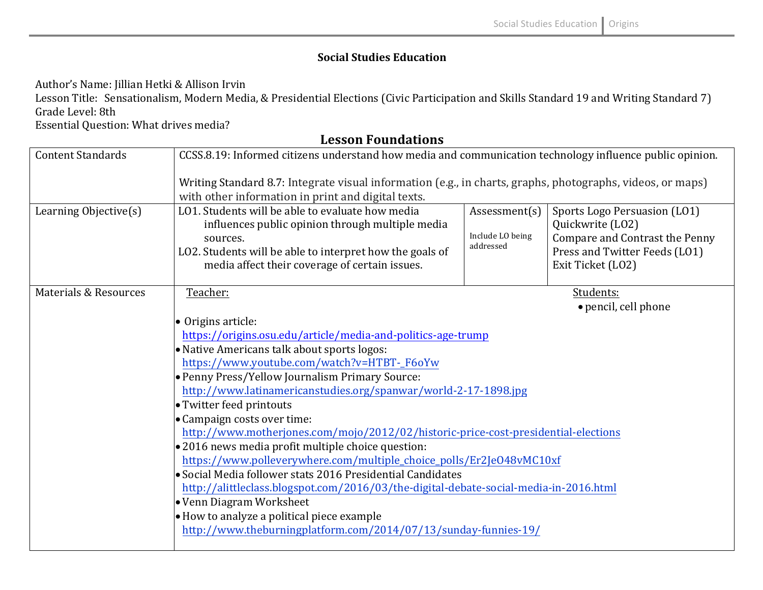## **Social Studies Education**

Author's Name: Jillian Hetki & Allison Irvin

Lesson Title: Sensationalism, Modern Media, & Presidential Elections (Civic Participation and Skills Standard 19 and Writing Standard 7) Grade Level: 8th 

Essential Question: What drives media?

| <b>Content Standards</b>         | CCSS.8.19: Informed citizens understand how media and communication technology influence public opinion.                                                                                                                       |                                                |                                                                                                                                          |  |
|----------------------------------|--------------------------------------------------------------------------------------------------------------------------------------------------------------------------------------------------------------------------------|------------------------------------------------|------------------------------------------------------------------------------------------------------------------------------------------|--|
|                                  | Writing Standard 8.7: Integrate visual information (e.g., in charts, graphs, photographs, videos, or maps)<br>with other information in print and digital texts.                                                               |                                                |                                                                                                                                          |  |
| Learning Objective(s)            | LO1. Students will be able to evaluate how media<br>influences public opinion through multiple media<br>sources.<br>LO2. Students will be able to interpret how the goals of<br>media affect their coverage of certain issues. | Assessment(s)<br>Include LO being<br>addressed | Sports Logo Persuasion (LO1)<br>Quickwrite (LO2)<br>Compare and Contrast the Penny<br>Press and Twitter Feeds (LO1)<br>Exit Ticket (LO2) |  |
| <b>Materials &amp; Resources</b> | Teacher:                                                                                                                                                                                                                       |                                                | Students:                                                                                                                                |  |
|                                  |                                                                                                                                                                                                                                |                                                | • pencil, cell phone                                                                                                                     |  |
|                                  | • Origins article:                                                                                                                                                                                                             |                                                |                                                                                                                                          |  |
|                                  | https://origins.osu.edu/article/media-and-politics-age-trump                                                                                                                                                                   |                                                |                                                                                                                                          |  |
|                                  | • Native Americans talk about sports logos:                                                                                                                                                                                    |                                                |                                                                                                                                          |  |
|                                  | https://www.youtube.com/watch?v=HTBT-_F6oYw                                                                                                                                                                                    |                                                |                                                                                                                                          |  |
|                                  | • Penny Press/Yellow Journalism Primary Source:                                                                                                                                                                                |                                                |                                                                                                                                          |  |
|                                  | http://www.latinamericanstudies.org/spanwar/world-2-17-1898.jpg                                                                                                                                                                |                                                |                                                                                                                                          |  |
|                                  | • Twitter feed printouts                                                                                                                                                                                                       |                                                |                                                                                                                                          |  |
|                                  | • Campaign costs over time:                                                                                                                                                                                                    |                                                |                                                                                                                                          |  |
|                                  | http://www.motherjones.com/mojo/2012/02/historic-price-cost-presidential-elections                                                                                                                                             |                                                |                                                                                                                                          |  |
|                                  | $\bullet$ 2016 news media profit multiple choice question:                                                                                                                                                                     |                                                |                                                                                                                                          |  |
|                                  | https://www.polleverywhere.com/multiple_choice_polls/Er2Je048vMC10xf                                                                                                                                                           |                                                |                                                                                                                                          |  |
|                                  | • Social Media follower stats 2016 Presidential Candidates                                                                                                                                                                     |                                                |                                                                                                                                          |  |
|                                  | http://alittleclass.blogspot.com/2016/03/the-digital-debate-social-media-in-2016.html                                                                                                                                          |                                                |                                                                                                                                          |  |
|                                  | • Venn Diagram Worksheet                                                                                                                                                                                                       |                                                |                                                                                                                                          |  |
|                                  | $\bullet$ How to analyze a political piece example                                                                                                                                                                             |                                                |                                                                                                                                          |  |
|                                  | http://www.theburningplatform.com/2014/07/13/sunday-funnies-19/                                                                                                                                                                |                                                |                                                                                                                                          |  |

**Lesson Foundations**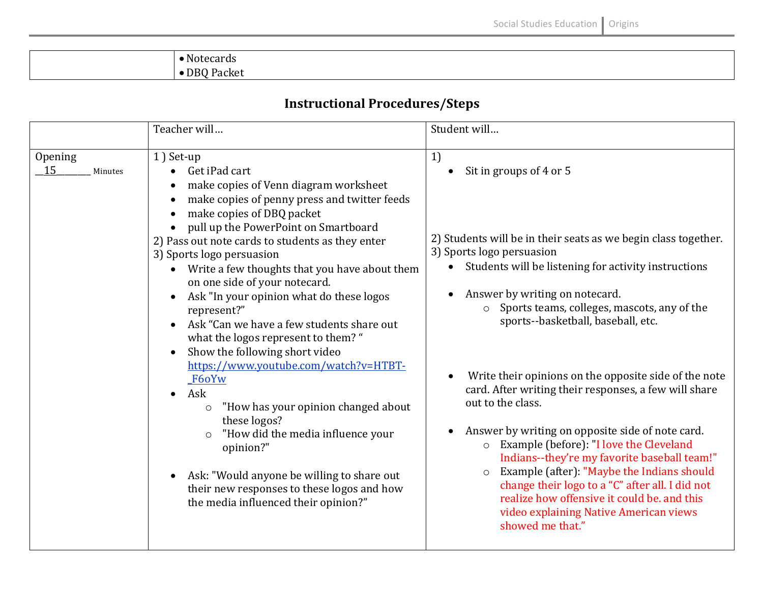## **Instructional Procedures/Steps**

|                          | Teacher will                                                                                                                                                                                                                                                                                                                                                                                                                                                                                                                                                                                                                                                                                                                                                                                                                                                                                         | Student will                                                                                                                                                                                                                                                                                                                                                                                                                                                                                                                                                                                                                                                                                                                                                                                                               |
|--------------------------|------------------------------------------------------------------------------------------------------------------------------------------------------------------------------------------------------------------------------------------------------------------------------------------------------------------------------------------------------------------------------------------------------------------------------------------------------------------------------------------------------------------------------------------------------------------------------------------------------------------------------------------------------------------------------------------------------------------------------------------------------------------------------------------------------------------------------------------------------------------------------------------------------|----------------------------------------------------------------------------------------------------------------------------------------------------------------------------------------------------------------------------------------------------------------------------------------------------------------------------------------------------------------------------------------------------------------------------------------------------------------------------------------------------------------------------------------------------------------------------------------------------------------------------------------------------------------------------------------------------------------------------------------------------------------------------------------------------------------------------|
| Opening<br>15<br>Minutes | 1) Set-up<br>Get iPad cart<br>make copies of Venn diagram worksheet<br>make copies of penny press and twitter feeds<br>make copies of DBQ packet<br>pull up the PowerPoint on Smartboard<br>2) Pass out note cards to students as they enter<br>3) Sports logo persuasion<br>• Write a few thoughts that you have about them<br>on one side of your notecard.<br>Ask "In your opinion what do these logos<br>represent?"<br>Ask "Can we have a few students share out<br>what the logos represent to them? "<br>Show the following short video<br>https://www.youtube.com/watch?v=HTBT-<br>F6oYw<br>Ask<br>$\bullet$<br>"How has your opinion changed about<br>$\circ$<br>these logos?<br>"How did the media influence your<br>$\circ$<br>opinion?"<br>Ask: "Would anyone be willing to share out<br>$\bullet$<br>their new responses to these logos and how<br>the media influenced their opinion?" | 1)<br>Sit in groups of 4 or 5<br>2) Students will be in their seats as we begin class together.<br>3) Sports logo persuasion<br>Students will be listening for activity instructions<br>Answer by writing on notecard.<br>Sports teams, colleges, mascots, any of the<br>sports--basketball, baseball, etc.<br>Write their opinions on the opposite side of the note<br>card. After writing their responses, a few will share<br>out to the class.<br>Answer by writing on opposite side of note card.<br>Example (before): "I love the Cleveland<br>Indians--they're my favorite baseball team!"<br>Example (after): "Maybe the Indians should<br>$\circ$<br>change their logo to a "C" after all. I did not<br>realize how offensive it could be, and this<br>video explaining Native American views<br>showed me that." |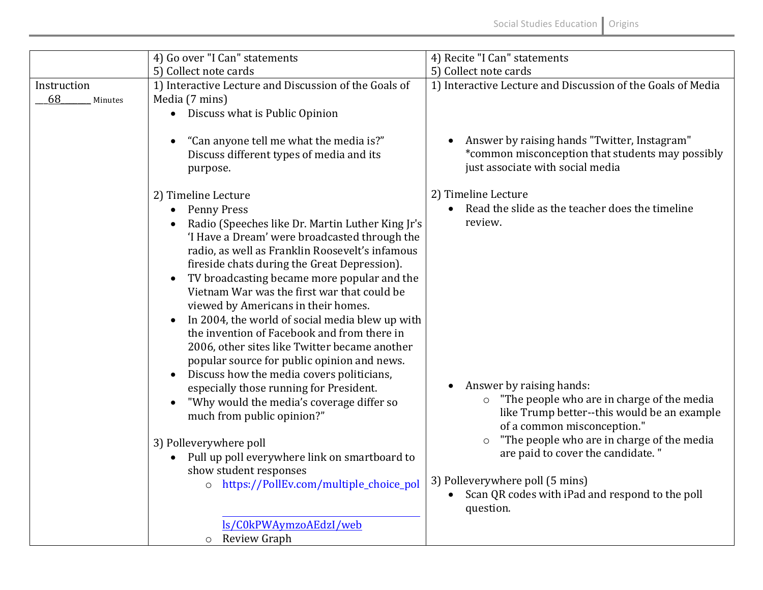|                              | 4) Go over "I Can" statements                                                                                                                                                                                                                                                                                                                                                                                                                                                                                                                                                                                                                                                                                                                                                                                                                                                                                                                                    | 4) Recite "I Can" statements                                                                                                                                                                                                                                                                                                                                                                                                               |
|------------------------------|------------------------------------------------------------------------------------------------------------------------------------------------------------------------------------------------------------------------------------------------------------------------------------------------------------------------------------------------------------------------------------------------------------------------------------------------------------------------------------------------------------------------------------------------------------------------------------------------------------------------------------------------------------------------------------------------------------------------------------------------------------------------------------------------------------------------------------------------------------------------------------------------------------------------------------------------------------------|--------------------------------------------------------------------------------------------------------------------------------------------------------------------------------------------------------------------------------------------------------------------------------------------------------------------------------------------------------------------------------------------------------------------------------------------|
|                              | 5) Collect note cards                                                                                                                                                                                                                                                                                                                                                                                                                                                                                                                                                                                                                                                                                                                                                                                                                                                                                                                                            | 5) Collect note cards                                                                                                                                                                                                                                                                                                                                                                                                                      |
| Instruction<br>68<br>Minutes | 1) Interactive Lecture and Discussion of the Goals of<br>Media (7 mins)<br>• Discuss what is Public Opinion                                                                                                                                                                                                                                                                                                                                                                                                                                                                                                                                                                                                                                                                                                                                                                                                                                                      | 1) Interactive Lecture and Discussion of the Goals of Media                                                                                                                                                                                                                                                                                                                                                                                |
|                              | "Can anyone tell me what the media is?"<br>Discuss different types of media and its<br>purpose.                                                                                                                                                                                                                                                                                                                                                                                                                                                                                                                                                                                                                                                                                                                                                                                                                                                                  | Answer by raising hands "Twitter, Instagram"<br>*common misconception that students may possibly<br>just associate with social media                                                                                                                                                                                                                                                                                                       |
|                              | 2) Timeline Lecture<br><b>Penny Press</b><br>$\bullet$<br>Radio (Speeches like Dr. Martin Luther King Jr's<br>'I Have a Dream' were broadcasted through the<br>radio, as well as Franklin Roosevelt's infamous<br>fireside chats during the Great Depression).<br>TV broadcasting became more popular and the<br>$\bullet$<br>Vietnam War was the first war that could be<br>viewed by Americans in their homes.<br>In 2004, the world of social media blew up with<br>$\bullet$<br>the invention of Facebook and from there in<br>2006, other sites like Twitter became another<br>popular source for public opinion and news.<br>Discuss how the media covers politicians,<br>especially those running for President.<br>"Why would the media's coverage differ so<br>much from public opinion?"<br>3) Polleverywhere poll<br>Pull up poll everywhere link on smartboard to<br>$\bullet$<br>show student responses<br>o https://PollEv.com/multiple_choice_pol | 2) Timeline Lecture<br>Read the slide as the teacher does the timeline<br>review.<br>Answer by raising hands:<br>"The people who are in charge of the media<br>like Trump better--this would be an example<br>of a common misconception."<br>"The people who are in charge of the media<br>$\circ$<br>are paid to cover the candidate."<br>3) Polleverywhere poll (5 mins)<br>Scan QR codes with iPad and respond to the poll<br>question. |
|                              | ls/C0kPWAymzoAEdzI/web<br>o Review Graph                                                                                                                                                                                                                                                                                                                                                                                                                                                                                                                                                                                                                                                                                                                                                                                                                                                                                                                         |                                                                                                                                                                                                                                                                                                                                                                                                                                            |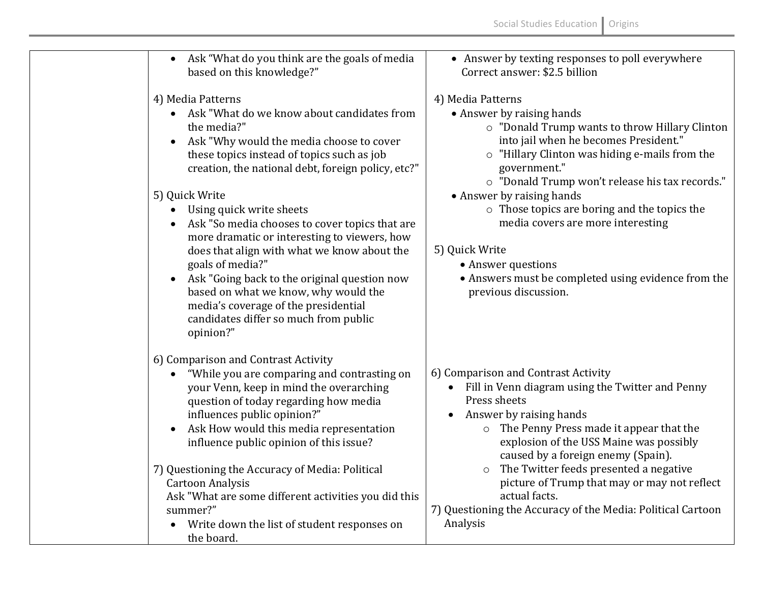| Ask "What do you think are the goals of media<br>$\bullet$<br>based on this knowledge?"                                                                                                                                                                                                                                                                                                                                                                                                                                                                                                                                                              | • Answer by texting responses to poll everywhere<br>Correct answer: \$2.5 billion                                                                                                                                                                                                                                                                                                                                                                                                                       |
|------------------------------------------------------------------------------------------------------------------------------------------------------------------------------------------------------------------------------------------------------------------------------------------------------------------------------------------------------------------------------------------------------------------------------------------------------------------------------------------------------------------------------------------------------------------------------------------------------------------------------------------------------|---------------------------------------------------------------------------------------------------------------------------------------------------------------------------------------------------------------------------------------------------------------------------------------------------------------------------------------------------------------------------------------------------------------------------------------------------------------------------------------------------------|
| 4) Media Patterns<br>Ask "What do we know about candidates from<br>the media?"<br>Ask "Why would the media choose to cover<br>$\bullet$<br>these topics instead of topics such as job<br>creation, the national debt, foreign policy, etc?"<br>5) Quick Write<br>Using quick write sheets<br>Ask "So media chooses to cover topics that are<br>more dramatic or interesting to viewers, how<br>does that align with what we know about the<br>goals of media?"<br>Ask "Going back to the original question now<br>based on what we know, why would the<br>media's coverage of the presidential<br>candidates differ so much from public<br>opinion?" | 4) Media Patterns<br>• Answer by raising hands<br>o "Donald Trump wants to throw Hillary Clinton<br>into jail when he becomes President."<br>o "Hillary Clinton was hiding e-mails from the<br>government."<br>o "Donald Trump won't release his tax records."<br>• Answer by raising hands<br>o Those topics are boring and the topics the<br>media covers are more interesting<br>5) Quick Write<br>• Answer questions<br>• Answers must be completed using evidence from the<br>previous discussion. |
| 6) Comparison and Contrast Activity<br>"While you are comparing and contrasting on<br>your Venn, keep in mind the overarching<br>question of today regarding how media<br>influences public opinion?"<br>Ask How would this media representation<br>$\bullet$<br>influence public opinion of this issue?<br>7) Questioning the Accuracy of Media: Political<br><b>Cartoon Analysis</b><br>Ask "What are some different activities you did this<br>summer?"<br>Write down the list of student responses on<br>the board.                                                                                                                              | 6) Comparison and Contrast Activity<br>Fill in Venn diagram using the Twitter and Penny<br>Press sheets<br>Answer by raising hands<br>The Penny Press made it appear that the<br>$\circ$<br>explosion of the USS Maine was possibly<br>caused by a foreign enemy (Spain).<br>The Twitter feeds presented a negative<br>$\circ$<br>picture of Trump that may or may not reflect<br>actual facts.<br>7) Questioning the Accuracy of the Media: Political Cartoon<br>Analysis                              |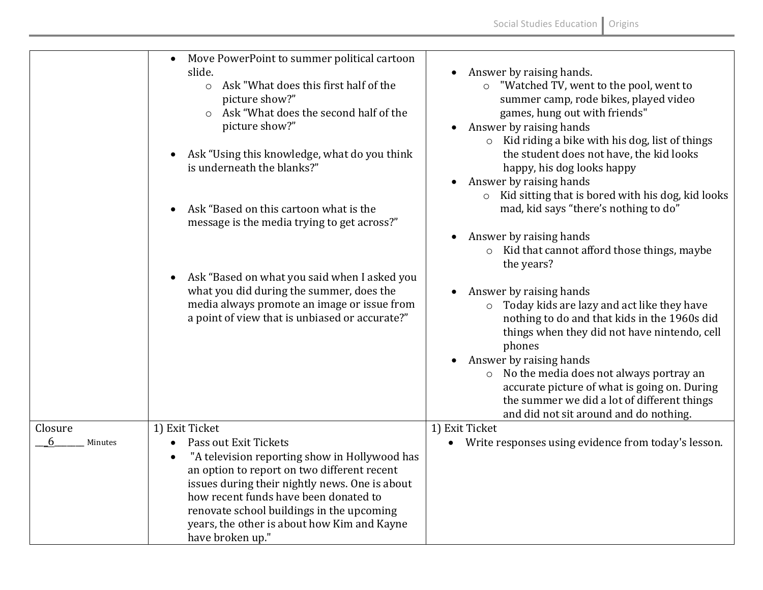|                         | Move PowerPoint to summer political cartoon<br>slide.<br>Ask "What does this first half of the<br>$\circ$<br>picture show?"<br>o Ask "What does the second half of the<br>picture show?"<br>Ask "Using this knowledge, what do you think<br>$\bullet$<br>is underneath the blanks?"<br>Ask "Based on this cartoon what is the<br>$\bullet$<br>message is the media trying to get across?" | Answer by raising hands.<br>o "Watched TV, went to the pool, went to<br>summer camp, rode bikes, played video<br>games, hung out with friends"<br>• Answer by raising hands<br>$\circ$ Kid riding a bike with his dog, list of things<br>the student does not have, the kid looks<br>happy, his dog looks happy<br>Answer by raising hands<br>Kid sitting that is bored with his dog, kid looks<br>$\circ$<br>mad, kid says "there's nothing to do"<br>Answer by raising hands<br>o Kid that cannot afford those things, maybe |
|-------------------------|-------------------------------------------------------------------------------------------------------------------------------------------------------------------------------------------------------------------------------------------------------------------------------------------------------------------------------------------------------------------------------------------|--------------------------------------------------------------------------------------------------------------------------------------------------------------------------------------------------------------------------------------------------------------------------------------------------------------------------------------------------------------------------------------------------------------------------------------------------------------------------------------------------------------------------------|
|                         | Ask "Based on what you said when I asked you<br>$\bullet$<br>what you did during the summer, does the<br>media always promote an image or issue from<br>a point of view that is unbiased or accurate?"                                                                                                                                                                                    | the years?<br>Answer by raising hands<br>$\bullet$<br>Today kids are lazy and act like they have<br>$\circ$<br>nothing to do and that kids in the 1960s did<br>things when they did not have nintendo, cell<br>phones<br>Answer by raising hands<br>o No the media does not always portray an<br>accurate picture of what is going on. During<br>the summer we did a lot of different things<br>and did not sit around and do nothing.                                                                                         |
| Closure<br>6<br>Minutes | 1) Exit Ticket<br>Pass out Exit Tickets<br>$\bullet$<br>"A television reporting show in Hollywood has<br>$\bullet$<br>an option to report on two different recent<br>issues during their nightly news. One is about<br>how recent funds have been donated to<br>renovate school buildings in the upcoming<br>years, the other is about how Kim and Kayne<br>have broken up."              | 1) Exit Ticket<br>Write responses using evidence from today's lesson.<br>$\bullet$                                                                                                                                                                                                                                                                                                                                                                                                                                             |